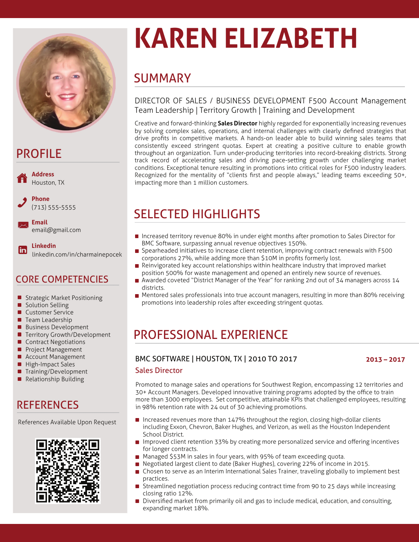

## PROFILE



## CORE COMPETENCIES

- **Strategic Market Positioning**
- **Solution Selling**
- **Customer Service**
- **Team Leadership**
- Business Development
- **Territory Growth/Development**
- Contract Negotiations
- Project Management
- **Account Management**
- **High-Impact Sales**
- Training/Development
- Relationship Building

## **REFERENCES**

References Available Upon Request



# **KAREN ELIZABETH**

## **SUMMARY**

### DIRECTOR OF SALES / BUSINESS DEVELOPMENT F500 Account Management Team Leadership | Territory Growth | Training and Development

Creative and forward-thinking **Sales Director** highly regarded for exponentially increasing revenues by solving complex sales, operations, and internal challenges with clearly defined strategies that drive profits in competitive markets. A hands-on leader able to build winning sales teams that consistently exceed stringent quotas. Expert at creating a positive culture to enable growth throughout an organization. Turn under-producing territories into record-breaking districts. Strong track record of accelerating sales and driving pace-setting growth under challenging market conditions. Exceptional tenure resulting in promotions into critical roles for F500 industry leaders. Recognized for the mentality of "clients first and people always," leading teams exceeding 50+, impacting more than 1 million customers.

## SELECTED HIGHLIGHTS

- **Increased territory revenue 80% in under eight months after promotion to Sales Director for** BMC Software, surpassing annual revenue objectives 150%.
- Spearheaded initiatives to increase client retention, improving contract renewals with F500  $\blacksquare$ corporations 27%, while adding more than \$10M in profits formerly lost.
- $\blacksquare$ Reinvigorated key account relationships within healthcare industry that improved market position 500% for waste management and opened an entirely new source of revenues.
- Awarded coveted "District Manager of the Year" for ranking 2nd out of 34 managers across 14 districts.
- **Mentored sales professionals into true account managers, resulting in more than 80% receiving** promotions into leadership roles after exceeding stringent quotas.

## PROFESSIONAL EXPERIENCE

#### BMC SOFTWARE | HOUSTON, TX | 2010 TO 2017 **2013 – 2017**

#### Sales Director

Promoted to manage sales and operations for Southwest Region, encompassing 12 territories and 30+ Account Managers. Developed innovative training programs adopted by the office to train more than 3000 employees. Set competitive, attainable KPIs that challenged employees, resulting in 98% retention rate with 24 out of 30 achieving promotions.

- **Increased revenues more than 147% throughout the region, closing high-dollar clients** including Exxon, Chevron, Baker Hughes, and Verizon, as well as the Houston Independent School District.
- **Improved client retention 33% by creating more personalized service and offering incentives** for longer contracts.
- **Managed \$53M in sales in four years, with 95% of team exceeding quota.**
- Negotiated largest client to date (Baker Hughes), covering 22% of income in 2015.
- **Chosen to serve as an Interim International Sales Trainer, traveling globally to implement best** practices.
- Streamlined negotiation process reducing contract time from 90 to 25 days while increasing closing ratio 12%.
- Diversified market from primarily oil and gas to include medical, education, and consulting,  $\blacksquare$ expanding market 18%.